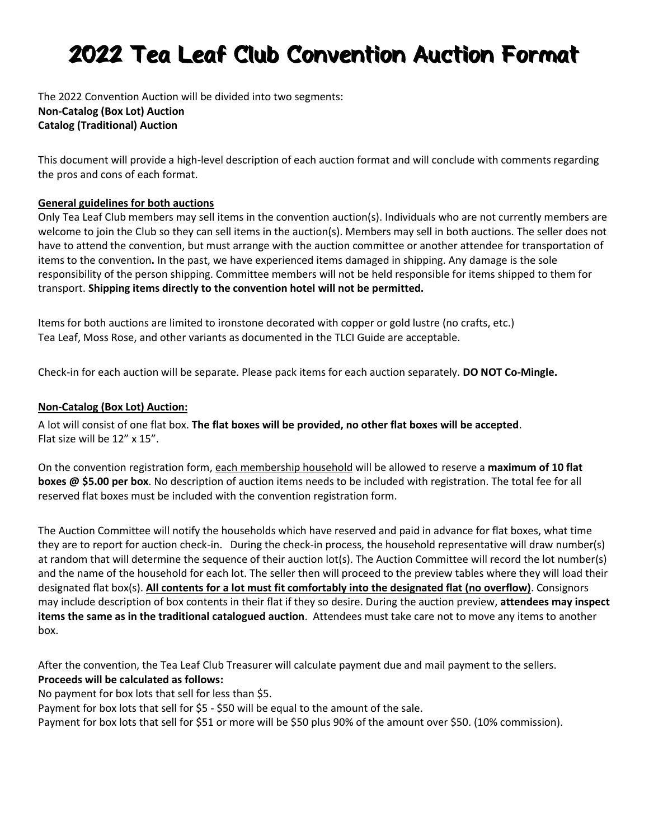# 2022 Tea Leaf Club Convention Auction Format

The 2022 Convention Auction will be divided into two segments: **Non-Catalog (Box Lot) Auction Catalog (Traditional) Auction** 

This document will provide a high-level description of each auction format and will conclude with comments regarding the pros and cons of each format.

#### **General guidelines for both auctions**

Only Tea Leaf Club members may sell items in the convention auction(s). Individuals who are not currently members are welcome to join the Club so they can sell items in the auction(s). Members may sell in both auctions. The seller does not have to attend the convention, but must arrange with the auction committee or another attendee for transportation of items to the convention**.** In the past, we have experienced items damaged in shipping. Any damage is the sole responsibility of the person shipping. Committee members will not be held responsible for items shipped to them for transport. **Shipping items directly to the convention hotel will not be permitted.**

Items for both auctions are limited to ironstone decorated with copper or gold lustre (no crafts, etc.) Tea Leaf, Moss Rose, and other variants as documented in the TLCI Guide are acceptable.

Check-in for each auction will be separate. Please pack items for each auction separately. **DO NOT Co-Mingle.**

#### **Non-Catalog (Box Lot) Auction:**

A lot will consist of one flat box. **The flat boxes will be provided, no other flat boxes will be accepted**. Flat size will be 12" x 15".

On the convention registration form, each membership household will be allowed to reserve a **maximum of 10 flat boxes @ \$5.00 per box**. No description of auction items needs to be included with registration. The total fee for all reserved flat boxes must be included with the convention registration form.

The Auction Committee will notify the households which have reserved and paid in advance for flat boxes, what time they are to report for auction check-in. During the check-in process, the household representative will draw number(s) at random that will determine the sequence of their auction lot(s). The Auction Committee will record the lot number(s) and the name of the household for each lot. The seller then will proceed to the preview tables where they will load their designated flat box(s). **All contents for a lot must fit comfortably into the designated flat (no overflow)**. Consignors may include description of box contents in their flat if they so desire. During the auction preview, **attendees may inspect items the same as in the traditional catalogued auction**. Attendees must take care not to move any items to another box.

After the convention, the Tea Leaf Club Treasurer will calculate payment due and mail payment to the sellers. **Proceeds will be calculated as follows:** 

No payment for box lots that sell for less than \$5.

Payment for box lots that sell for \$5 - \$50 will be equal to the amount of the sale.

Payment for box lots that sell for \$51 or more will be \$50 plus 90% of the amount over \$50. (10% commission).